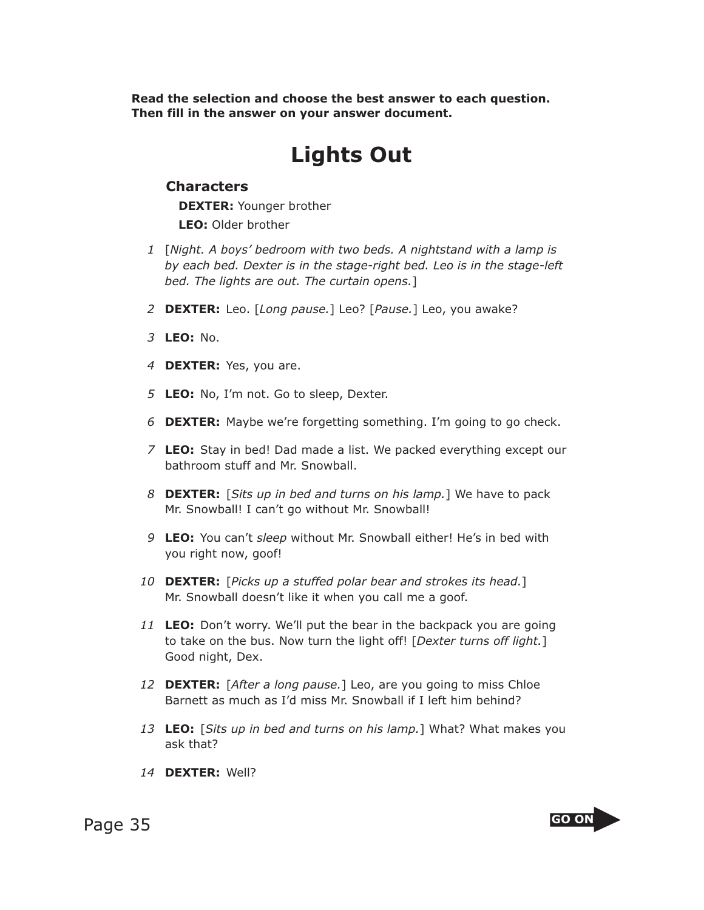**Read the selection and choose the best answer to each question. Then fill in the answer on your answer document.**

## **Lights Out**

## **Characters**

**DEXTER:** Younger brother

**LEO:** Older brother

- *1* [*Night. A boys' bedroom with two beds. A nightstand with a lamp is by each bed. Dexter is in the stage-right bed. Leo is in the stage-left bed. The lights are out. The curtain opens.*]
- *2* **DEXTER:** Leo. [*Long pause.*] Leo? [*Pause.*] Leo, you awake?
- *3* **LEO:** No.
- *4* **DEXTER:** Yes, you are.
- *5* **LEO:** No, I'm not. Go to sleep, Dexter.
- *6* **DEXTER:** Maybe we're forgetting something. I'm going to go check.
- *7* **LEO:** Stay in bed! Dad made a list. We packed everything except our bathroom stuff and Mr. Snowball.
- *8* **DEXTER:** [*Sits up in bed and turns on his lamp.*] We have to pack Mr. Snowball! I can't go without Mr. Snowball!
- *9* **LEO:** You can't *sleep* without Mr. Snowball either! He's in bed with you right now, goof!
- *10* **DEXTER:** [*Picks up a stuffed polar bear and strokes its head.*] Mr. Snowball doesn't like it when you call me a goof.
- *11* **LEO:** Don't worry. We'll put the bear in the backpack you are going to take on the bus. Now turn the light off! [*Dexter turns off light.*] Good night, Dex.
- *12* **DEXTER:** [*After a long pause.*] Leo, are you going to miss Chloe Barnett as much as I'd miss Mr. Snowball if I left him behind?
- *13* **LEO:** [*Sits up in bed and turns on his lamp.*] What? What makes you ask that?
- *14* **DEXTER:** Well?

Page 35 **GO ON** 

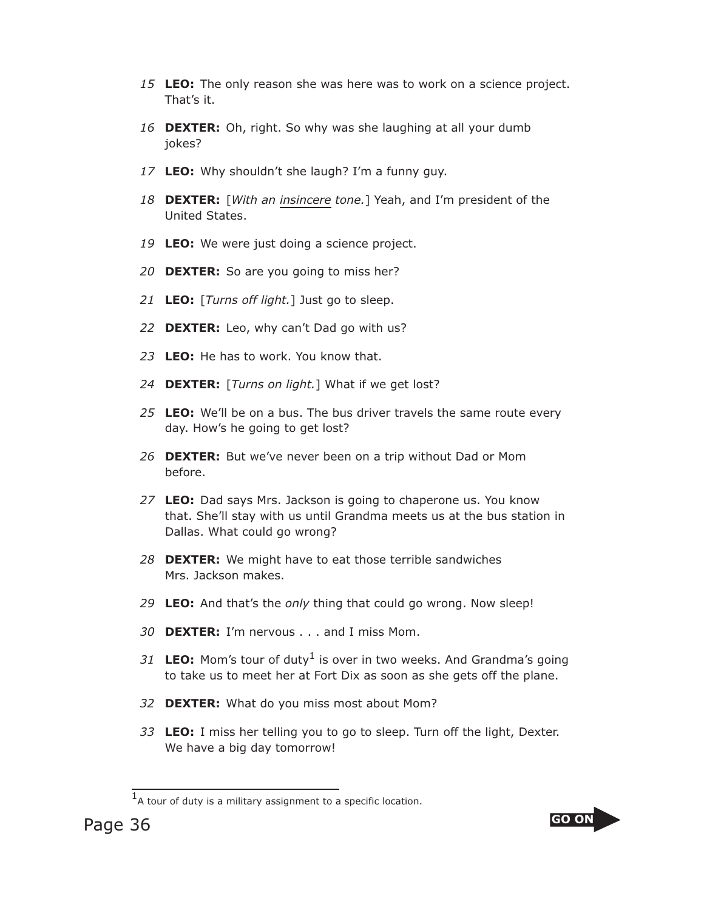- *15* **LEO:** The only reason she was here was to work on a science project. That's it.
- *16* **DEXTER:** Oh, right. So why was she laughing at all your dumb jokes?
- *17* **LEO:** Why shouldn't she laugh? I'm a funny guy.
- *18* **DEXTER:** [*With an insincere tone.*] Yeah, and I'm president of the United States.
- *19* **LEO:** We were just doing a science project.
- *20* **DEXTER:** So are you going to miss her?
- *21* **LEO:** [*Turns off light.*] Just go to sleep.
- *22* **DEXTER:** Leo, why can't Dad go with us?
- *23* **LEO:** He has to work. You know that.
- *24* **DEXTER:** [*Turns on light.*] What if we get lost?
- *25* **LEO:** We'll be on a bus. The bus driver travels the same route every day. How's he going to get lost?
- *26* **DEXTER:** But we've never been on a trip without Dad or Mom before.
- *27* **LEO:** Dad says Mrs. Jackson is going to chaperone us. You know that. She'll stay with us until Grandma meets us at the bus station in Dallas. What could go wrong?
- *28* **DEXTER:** We might have to eat those terrible sandwiches Mrs. Jackson makes.
- *29* **LEO:** And that's the *only* thing that could go wrong. Now sleep!
- *30* **DEXTER:** I'm nervous . . . and I miss Mom.
- 31 **LEO:** Mom's tour of duty<sup>1</sup> is over in two weeks. And Grandma's going to take us to meet her at Fort Dix as soon as she gets off the plane.
- *32* **DEXTER:** What do you miss most about Mom?
- *33* **LEO:** I miss her telling you to go to sleep. Turn off the light, Dexter. We have a big day tomorrow!



 $<sup>1</sup>A$  tour of duty is a military assignment to a specific location.</sup>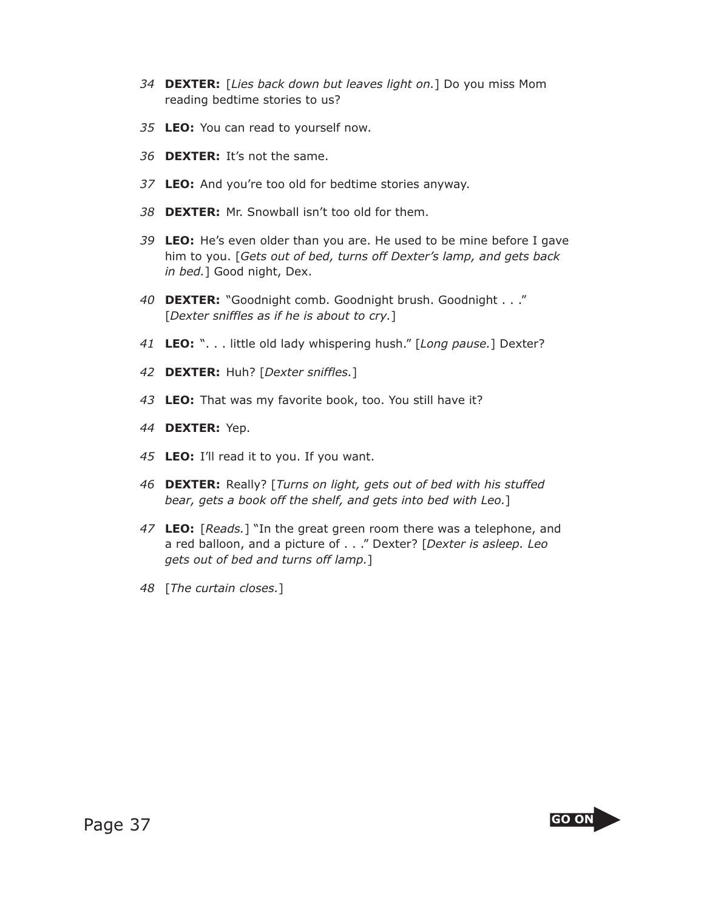- *34* **DEXTER:** [*Lies back down but leaves light on.*] Do you miss Mom reading bedtime stories to us?
- *35* **LEO:** You can read to yourself now.
- *36* **DEXTER:** It's not the same.
- *37* **LEO:** And you're too old for bedtime stories anyway.
- *38* **DEXTER:** Mr. Snowball isn't too old for them.
- *39* **LEO:** He's even older than you are. He used to be mine before I gave him to you. [*Gets out of bed, turns off Dexter's lamp, and gets back in bed.*] Good night, Dex.
- *40* **DEXTER:** "Goodnight comb. Goodnight brush. Goodnight . . ." [*Dexter sniffles as if he is about to cry.*]
- *41* **LEO:** ". . . little old lady whispering hush." [*Long pause.*] Dexter?
- *42* **DEXTER:** Huh? [*Dexter sniffles.*]
- *43* **LEO:** That was my favorite book, too. You still have it?
- *44* **DEXTER:** Yep.
- *45* **LEO:** I'll read it to you. If you want.
- *46* **DEXTER:** Really? [*Turns on light, gets out of bed with his stuffed bear, gets a book off the shelf, and gets into bed with Leo.*]
- *47* **LEO:** [*Reads.*] "In the great green room there was a telephone, and a red balloon, and a picture of . . ." Dexter? [*Dexter is asleep. Leo gets out of bed and turns off lamp.*]
- *48* [*The curtain closes.*]

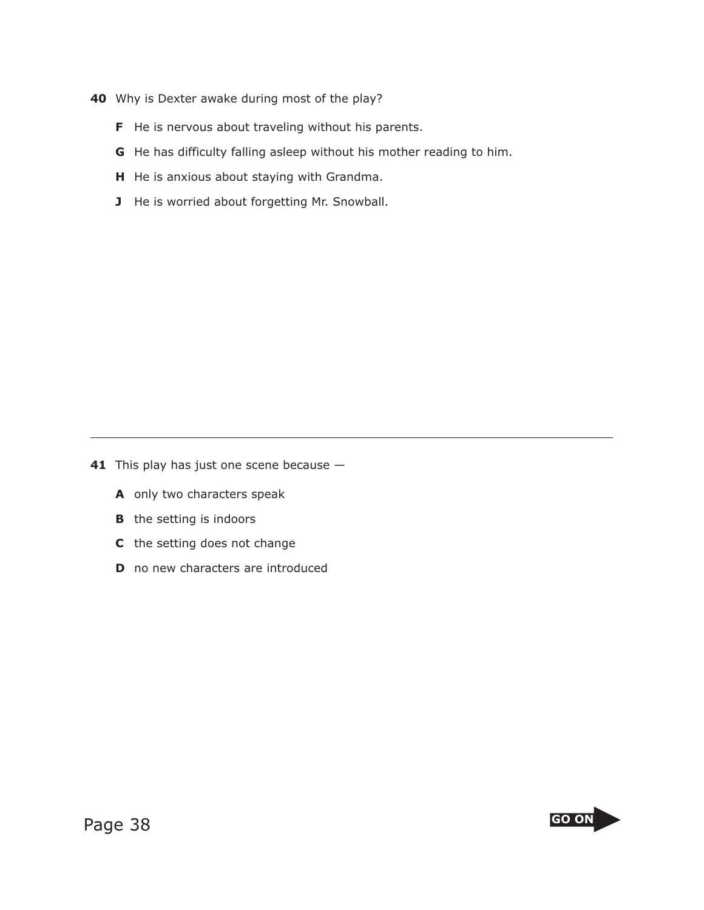- **40** Why is Dexter awake during most of the play?
	- **F** He is nervous about traveling without his parents.
	- **G** He has difficulty falling asleep without his mother reading to him.
	- **H** He is anxious about staying with Grandma.
	- **J** He is worried about forgetting Mr. Snowball.

**41** This play has just one scene because -

- **A** only two characters speak
- **B** the setting is indoors
- **C** the setting does not change
- **D** no new characters are introduced

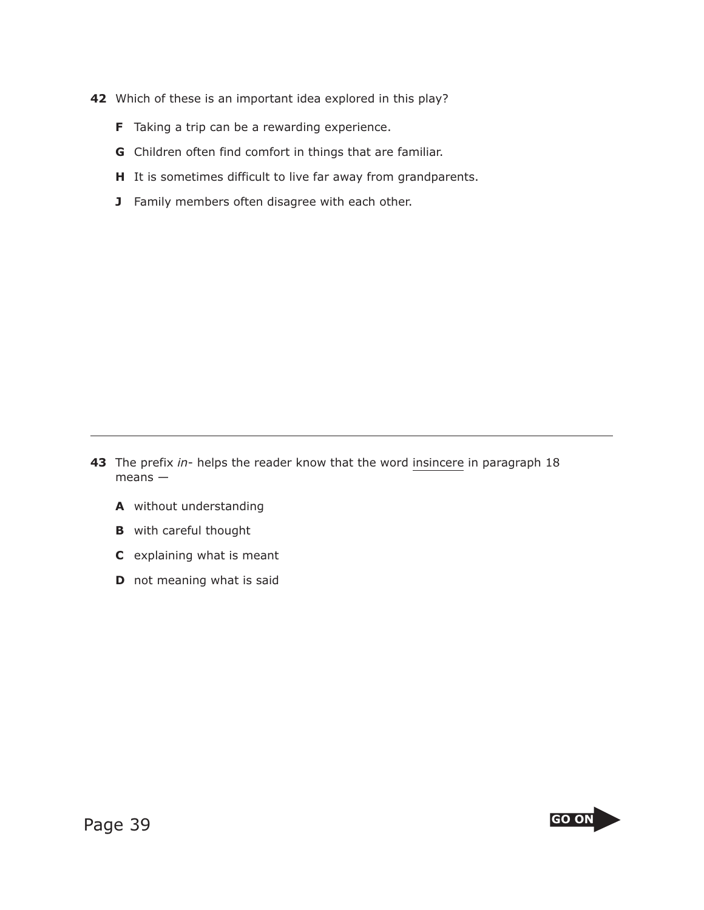- **42** Which of these is an important idea explored in this play?
	- **F** Taking a trip can be a rewarding experience.
	- **G** Children often find comfort in things that are familiar.
	- **H** It is sometimes difficult to live far away from grandparents.
	- **J** Family members often disagree with each other.

- **43** The prefix *in* helps the reader know that the word insincere in paragraph 18 means —
	- **A** without understanding
	- **B** with careful thought
	- **C** explaining what is meant
	- **D** not meaning what is said

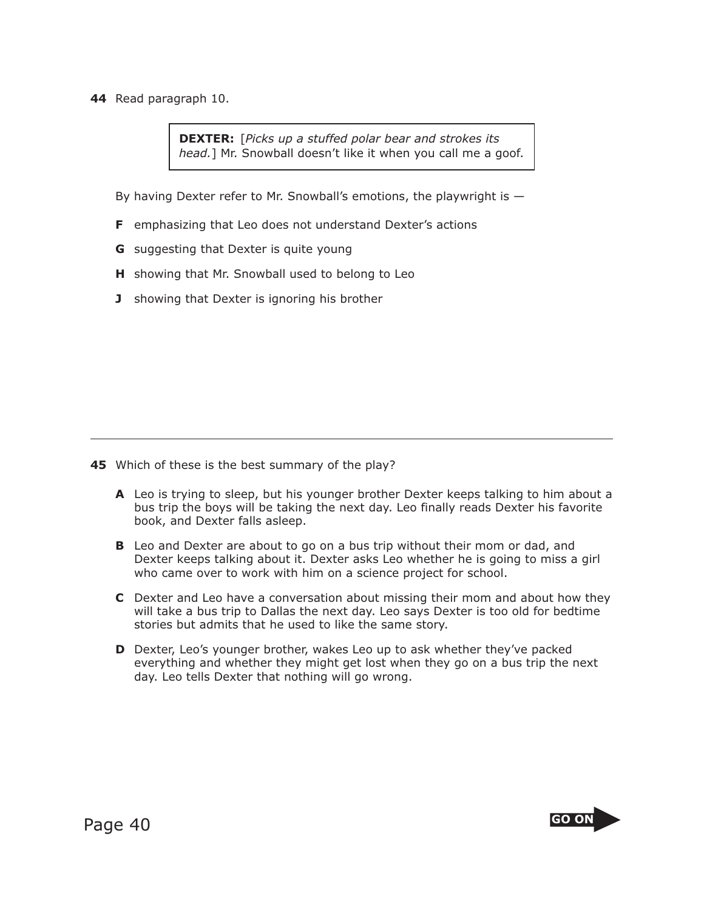**44** Read paragraph 10.

**DEXTER:** [*Picks up a stuffed polar bear and strokes its head.*] Mr. Snowball doesn't like it when you call me a goof.

By having Dexter refer to Mr. Snowball's emotions, the playwright is —

- **F** emphasizing that Leo does not understand Dexter's actions
- **G** suggesting that Dexter is quite young
- **H** showing that Mr. Snowball used to belong to Leo
- **J** showing that Dexter is ignoring his brother

- **45** Which of these is the best summary of the play?
	- **A** Leo is trying to sleep, but his younger brother Dexter keeps talking to him about a bus trip the boys will be taking the next day. Leo finally reads Dexter his favorite book, and Dexter falls asleep.
	- **B** Leo and Dexter are about to go on a bus trip without their mom or dad, and Dexter keeps talking about it. Dexter asks Leo whether he is going to miss a girl who came over to work with him on a science project for school.
	- **C** Dexter and Leo have a conversation about missing their mom and about how they will take a bus trip to Dallas the next day. Leo says Dexter is too old for bedtime stories but admits that he used to like the same story.
	- **D** Dexter, Leo's younger brother, wakes Leo up to ask whether they've packed everything and whether they might get lost when they go on a bus trip the next day. Leo tells Dexter that nothing will go wrong.



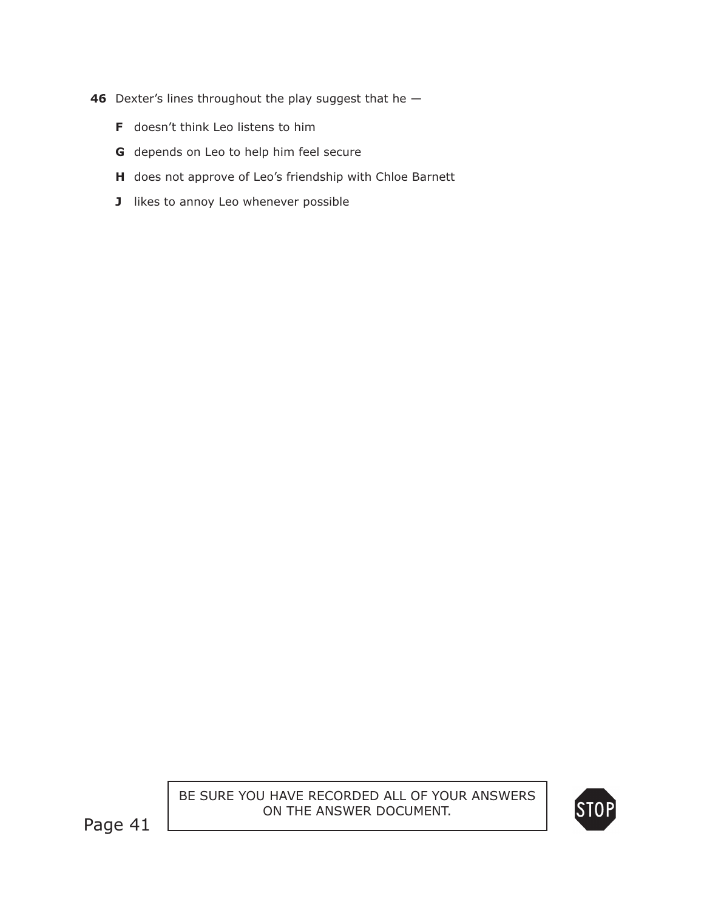- **46** Dexter's lines throughout the play suggest that he
	- **F** doesn't think Leo listens to him
	- **G** depends on Leo to help him feel secure
	- **H** does not approve of Leo's friendship with Chloe Barnett
	- **J** likes to annoy Leo whenever possible

BE SURE YOU HAVE RECORDED ALL OF YOUR ANSWERS ON THE ANSWER DOCUMENT.